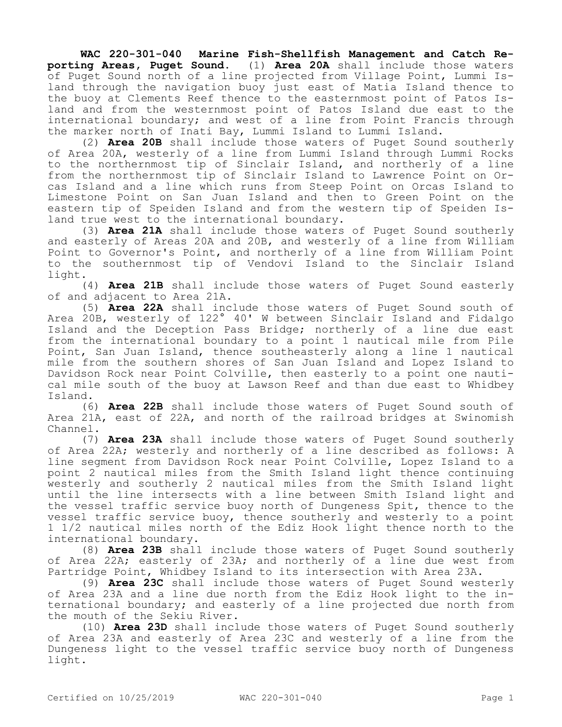**WAC 220-301-040 Marine Fish-Shellfish Management and Catch Reporting Areas, Puget Sound.** (1) **Area 20A** shall include those waters of Puget Sound north of a line projected from Village Point, Lummi Island through the navigation buoy just east of Matia Island thence to the buoy at Clements Reef thence to the easternmost point of Patos Island and from the westernmost point of Patos Island due east to the international boundary; and west of a line from Point Francis through the marker north of Inati Bay, Lummi Island to Lummi Island.

(2) **Area 20B** shall include those waters of Puget Sound southerly of Area 20A, westerly of a line from Lummi Island through Lummi Rocks to the northernmost tip of Sinclair Island, and northerly of a line from the northernmost tip of Sinclair Island to Lawrence Point on Orcas Island and a line which runs from Steep Point on Orcas Island to Limestone Point on San Juan Island and then to Green Point on the eastern tip of Speiden Island and from the western tip of Speiden Island true west to the international boundary.

(3) **Area 21A** shall include those waters of Puget Sound southerly and easterly of Areas 20A and 20B, and westerly of a line from William Point to Governor's Point, and northerly of a line from William Point to the southernmost tip of Vendovi Island to the Sinclair Island light.

(4) **Area 21B** shall include those waters of Puget Sound easterly of and adjacent to Area 21A.

(5) **Area 22A** shall include those waters of Puget Sound south of Area 20B, westerly of 122° 40' W between Sinclair Island and Fidalgo Island and the Deception Pass Bridge; northerly of a line due east from the international boundary to a point 1 nautical mile from Pile Point, San Juan Island, thence southeasterly along a line 1 nautical mile from the southern shores of San Juan Island and Lopez Island to Davidson Rock near Point Colville, then easterly to a point one nautical mile south of the buoy at Lawson Reef and than due east to Whidbey Island.

(6) **Area 22B** shall include those waters of Puget Sound south of Area 21A, east of 22A, and north of the railroad bridges at Swinomish Channel.

(7) **Area 23A** shall include those waters of Puget Sound southerly of Area 22A; westerly and northerly of a line described as follows: A line segment from Davidson Rock near Point Colville, Lopez Island to a point 2 nautical miles from the Smith Island light thence continuing westerly and southerly 2 nautical miles from the Smith Island light until the line intersects with a line between Smith Island light and the vessel traffic service buoy north of Dungeness Spit, thence to the vessel traffic service buoy, thence southerly and westerly to a point 1 1/2 nautical miles north of the Ediz Hook light thence north to the international boundary.

(8) **Area 23B** shall include those waters of Puget Sound southerly of Area 22A; easterly of 23A; and northerly of a line due west from Partridge Point, Whidbey Island to its intersection with Area 23A.

(9) **Area 23C** shall include those waters of Puget Sound westerly of Area 23A and a line due north from the Ediz Hook light to the international boundary; and easterly of a line projected due north from the mouth of the Sekiu River.

(10) **Area 23D** shall include those waters of Puget Sound southerly of Area 23A and easterly of Area 23C and westerly of a line from the Dungeness light to the vessel traffic service buoy north of Dungeness light.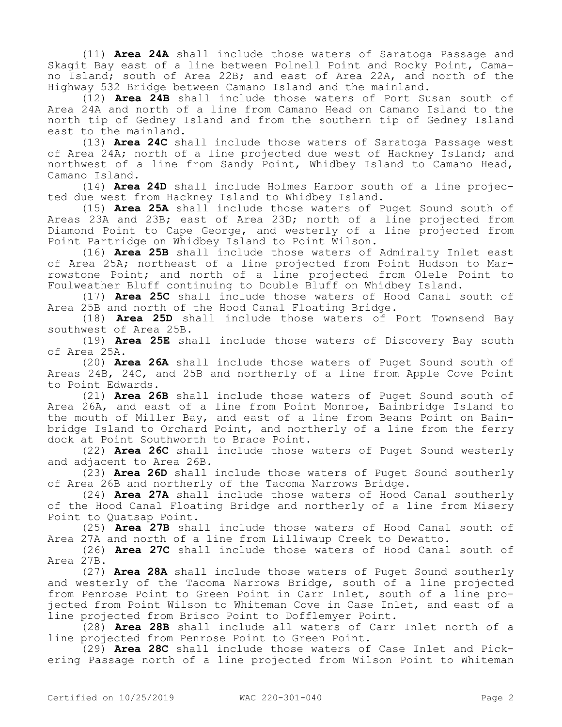(11) **Area 24A** shall include those waters of Saratoga Passage and Skagit Bay east of a line between Polnell Point and Rocky Point, Camano Island; south of Area 22B; and east of Area 22A, and north of the Highway 532 Bridge between Camano Island and the mainland.

(12) **Area 24B** shall include those waters of Port Susan south of Area 24A and north of a line from Camano Head on Camano Island to the north tip of Gedney Island and from the southern tip of Gedney Island east to the mainland.

(13) **Area 24C** shall include those waters of Saratoga Passage west of Area 24A; north of a line projected due west of Hackney Island; and northwest of a line from Sandy Point, Whidbey Island to Camano Head, Camano Island.

(14) **Area 24D** shall include Holmes Harbor south of a line projected due west from Hackney Island to Whidbey Island.

(15) **Area 25A** shall include those waters of Puget Sound south of Areas 23A and 23B; east of Area 23D; north of a line projected from Diamond Point to Cape George, and westerly of a line projected from Point Partridge on Whidbey Island to Point Wilson.

(16) **Area 25B** shall include those waters of Admiralty Inlet east of Area 25A; northeast of a line projected from Point Hudson to Marrowstone Point; and north of a line projected from Olele Point to Foulweather Bluff continuing to Double Bluff on Whidbey Island.

(17) **Area 25C** shall include those waters of Hood Canal south of Area 25B and north of the Hood Canal Floating Bridge.

(18) **Area 25D** shall include those waters of Port Townsend Bay southwest of Area 25B.

(19) **Area 25E** shall include those waters of Discovery Bay south of Area 25A.

(20) **Area 26A** shall include those waters of Puget Sound south of Areas 24B, 24C, and 25B and northerly of a line from Apple Cove Point to Point Edwards.

(21) **Area 26B** shall include those waters of Puget Sound south of Area 26A, and east of a line from Point Monroe, Bainbridge Island to the mouth of Miller Bay, and east of a line from Beans Point on Bainbridge Island to Orchard Point, and northerly of a line from the ferry dock at Point Southworth to Brace Point.

(22) **Area 26C** shall include those waters of Puget Sound westerly and adjacent to Area 26B.

(23) **Area 26D** shall include those waters of Puget Sound southerly of Area 26B and northerly of the Tacoma Narrows Bridge.

(24) **Area 27A** shall include those waters of Hood Canal southerly of the Hood Canal Floating Bridge and northerly of a line from Misery Point to Quatsap Point.

(25) **Area 27B** shall include those waters of Hood Canal south of Area 27A and north of a line from Lilliwaup Creek to Dewatto.

(26) **Area 27C** shall include those waters of Hood Canal south of Area 27B.

(27) **Area 28A** shall include those waters of Puget Sound southerly and westerly of the Tacoma Narrows Bridge, south of a line projected from Penrose Point to Green Point in Carr Inlet, south of a line projected from Point Wilson to Whiteman Cove in Case Inlet, and east of a line projected from Brisco Point to Dofflemyer Point.

(28) **Area 28B** shall include all waters of Carr Inlet north of a line projected from Penrose Point to Green Point.

(29) **Area 28C** shall include those waters of Case Inlet and Pickering Passage north of a line projected from Wilson Point to Whiteman